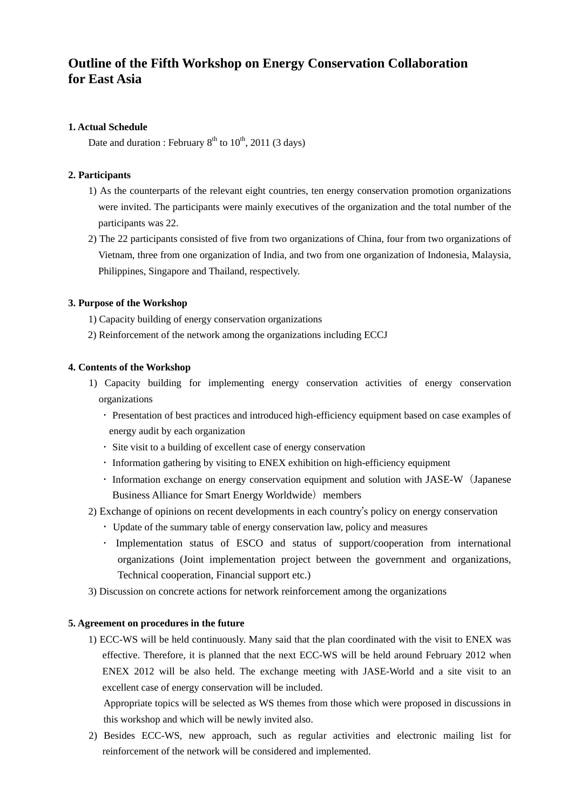## **Outline of the Fifth Workshop on Energy Conservation Collaboration for East Asia**

#### **1. Actual Schedule**

Date and duration : February  $8<sup>th</sup>$  to  $10<sup>th</sup>$ , 2011 (3 days)

#### **2. Participants**

- 1) As the counterparts of the relevant eight countries, ten energy conservation promotion organizations were invited. The participants were mainly executives of the organization and the total number of the participants was 22.
- 2) The 22 participants consisted of five from two organizations of China, four from two organizations of Vietnam, three from one organization of India, and two from one organization of Indonesia, Malaysia, Philippines, Singapore and Thailand, respectively.

## **3. Purpose of the Workshop**

- 1) Capacity building of energy conservation organizations
- 2) Reinforcement of the network among the organizations including ECCJ

## **4. Contents of the Workshop**

- 1) Capacity building for implementing energy conservation activities of energy conservation organizations
	- ・ Presentation of best practices and introduced high-efficiency equipment based on case examples of energy audit by each organization
	- ・ Site visit to a building of excellent case of energy conservation
	- ・ Information gathering by visiting to ENEX exhibition on high-efficiency equipment
	- Information exchange on energy conservation equipment and solution with JASE-W (Japanese) Business Alliance for Smart Energy Worldwide) members
- 2) Exchange of opinions on recent developments in each country's policy on energy conservation
	- ・ Update of the summary table of energy conservation law, policy and measures
	- ・ Implementation status of ESCO and status of support/cooperation from international organizations (Joint implementation project between the government and organizations, Technical cooperation, Financial support etc.)
- 3) Discussion on concrete actions for network reinforcement among the organizations

#### **5. Agreement on procedures in the future**

1) ECC-WS will be held continuously. Many said that the plan coordinated with the visit to ENEX was effective. Therefore, it is planned that the next ECC-WS will be held around February 2012 when ENEX 2012 will be also held. The exchange meeting with JASE-World and a site visit to an excellent case of energy conservation will be included.

Appropriate topics will be selected as WS themes from those which were proposed in discussions in this workshop and which will be newly invited also.

2) Besides ECC-WS, new approach, such as regular activities and electronic mailing list for reinforcement of the network will be considered and implemented.